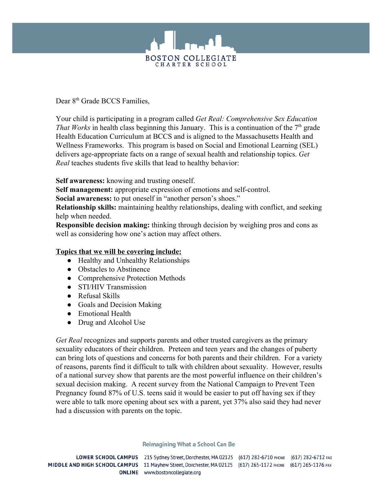

Dear 8<sup>th</sup> Grade BCCS Families,

Your child is participating in a program called *Get Real: Comprehensive Sex Education That Works* in health class beginning this January. This is a continuation of the  $7<sup>th</sup>$  grade Health Education Curriculum at BCCS and is aligned to the Massachusetts Health and Wellness Frameworks. This program is based on Social and Emotional Learning (SEL) delivers age-appropriate facts on a range of sexual health and relationship topics. *Get Real* teaches students five skills that lead to healthy behavior:

**Self awareness:** knowing and trusting oneself.

**Self management:** appropriate expression of emotions and self-control.

**Social awareness:** to put oneself in "another person's shoes."

**Relationship skills:** maintaining healthy relationships, dealing with conflict, and seeking help when needed.

**Responsible decision making:** thinking through decision by weighing pros and cons as well as considering how one's action may affect others.

# **Topics that we will be covering include:**

- Healthy and Unhealthy Relationships
- Obstacles to Abstinence
- Comprehensive Protection Methods
- STI/HIV Transmission
- Refusal Skills
- Goals and Decision Making
- Emotional Health
- Drug and Alcohol Use

*Get Real* recognizes and supports parents and other trusted caregivers as the primary sexuality educators of their children. Preteen and teen years and the changes of puberty can bring lots of questions and concerns for both parents and their children. For a variety of reasons, parents find it difficult to talk with children about sexuality. However, results of a national survey show that parents are the most powerful influence on their children's sexual decision making. A recent survey from the National Campaign to Prevent Teen Pregnancy found 87% of U.S. teens said it would be easier to put off having sex if they were able to talk more opening about sex with a parent, yet 37% also said they had never had a discussion with parents on the topic.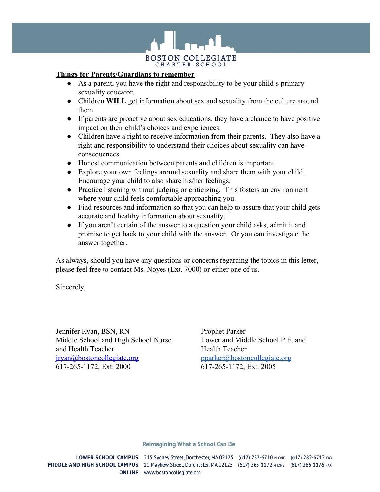

## **Things for Parents/Guardians to remember**

- As a parent, you have the right and responsibility to be your child's primary sexuality educator.
- Children **WILL** get information about sex and sexuality from the culture around them.
- If parents are proactive about sex educations, they have a chance to have positive impact on their child's choices and experiences.
- Children have a right to receive information from their parents. They also have a right and responsibility to understand their choices about sexuality can have consequences.
- Honest communication between parents and children is important.
- Explore your own feelings around sexuality and share them with your child. Encourage your child to also share his/her feelings.
- Practice listening without judging or criticizing. This fosters an environment where your child feels comfortable approaching you.
- Find resources and information so that you can help to assure that your child gets accurate and healthy information about sexuality.
- If you aren't certain of the answer to a question your child asks, admit it and promise to get back to your child with the answer. Or you can investigate the answer together.

As always, should you have any questions or concerns regarding the topics in this letter, please feel free to contact Ms. Noyes (Ext. 7000) or either one of us.

Sincerely,

Jennifer Ryan, BSN, RN Middle School and High School Nurse and Health Teacher [jryan@bostoncollegiate.org](mailto:jryan@bostoncollegiate.org) 617-265-1172, Ext. 2000

Prophet Parker Lower and Middle School P.E. and Health Teacher [pparker@bostoncollegiate.org](mailto:pparker@bostoncollegiate.org) 617-265-1172, Ext. 2005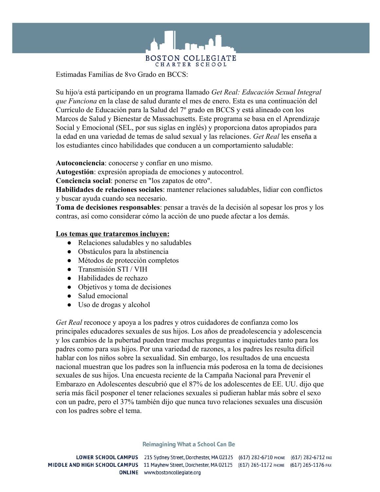

Estimadas Familias de 8vo Grado en BCCS:

Su hijo/a está participando en un programa llamado *Get Real: Educación Sexual Integral que Funciona* en la clase de salud durante el mes de enero. Esta es una continuación del Currículo de Educación para la Salud del 7º grado en BCCS y está alineado con los Marcos de Salud y Bienestar de Massachusetts. Este programa se basa en el Aprendizaje Social y Emocional (SEL, por sus siglas en inglés) y proporciona datos apropiados para la edad en una variedad de temas de salud sexual y las relaciones. *Get Real* les enseña a los estudiantes cinco habilidades que conducen a un comportamiento saludable:

**Autoconciencia**: conocerse y confiar en uno mismo.

**Autogestión**: expresión apropiada de emociones y autocontrol.

**Conciencia social**: ponerse en "los zapatos de otro".

**Habilidades de relaciones sociales**: mantener relaciones saludables, lidiar con conflictos y buscar ayuda cuando sea necesario.

**Toma de decisiones responsables**: pensar a través de la decisión al sopesar los pros y los contras, así como considerar cómo la acción de uno puede afectar a los demás.

# **Los temas que trataremos incluyen:**

- Relaciones saludables y no saludables
- Obstáculos para la abstinencia
- Métodos de protección completos
- Transmisión STI / VIH
- Habilidades de rechazo
- Objetivos y toma de decisiones
- Salud emocional
- Uso de drogas y alcohol

*Get Real* reconoce y apoya a los padres y otros cuidadores de confianza como los principales educadores sexuales de sus hijos. Los años de preadolescencia y adolescencia y los cambios de la pubertad pueden traer muchas preguntas e inquietudes tanto para los padres como para sus hijos. Por una variedad de razones, a los padres les resulta difícil hablar con los niños sobre la sexualidad. Sin embargo, los resultados de una encuesta nacional muestran que los padres son la influencia más poderosa en la toma de decisiones sexuales de sus hijos. Una encuesta reciente de la Campaña Nacional para Prevenir el Embarazo en Adolescentes descubrió que el 87% de los adolescentes de EE. UU. dijo que sería más fácil posponer el tener relaciones sexuales si pudieran hablar más sobre el sexo con un padre, pero el 37% también dijo que nunca tuvo relaciones sexuales una discusión con los padres sobre el tema.